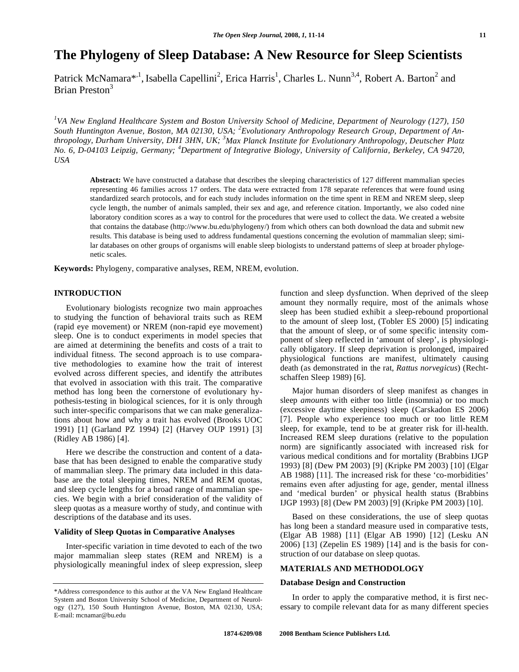# **The Phylogeny of Sleep Database: A New Resource for Sleep Scientists**

Patrick McNamara\*<sup>1</sup>, Isabella Capellini<sup>2</sup>, Erica Harris<sup>1</sup>, Charles L. Nunn<sup>3,4</sup>, Robert A. Barton<sup>2</sup> and Brian Preston<sup>3</sup>

*1 VA New England Healthcare System and Boston University School of Medicine, Department of Neurology (127), 150 South Huntington Avenue, Boston, MA 02130, USA; <sup>2</sup> Evolutionary Anthropology Research Group, Department of Anthropology, Durham University, DH1 3HN, UK; <sup>3</sup> Max Planck Institute for Evolutionary Anthropology, Deutscher Platz No. 6, D-04103 Leipzig, Germany; <sup>4</sup> Department of Integrative Biology, University of California, Berkeley, CA 94720, USA* 

**Abstract:** We have constructed a database that describes the sleeping characteristics of 127 different mammalian species representing 46 families across 17 orders. The data were extracted from 178 separate references that were found using standardized search protocols, and for each study includes information on the time spent in REM and NREM sleep, sleep cycle length, the number of animals sampled, their sex and age, and reference citation. Importantly, we also coded nine laboratory condition scores as a way to control for the procedures that were used to collect the data. We created a website that contains the database (http://www.bu.edu/phylogeny/) from which others can both download the data and submit new results. This database is being used to address fundamental questions concerning the evolution of mammalian sleep; similar databases on other groups of organisms will enable sleep biologists to understand patterns of sleep at broader phylogenetic scales.

**Keywords:** Phylogeny, comparative analyses, REM, NREM, evolution.

## **INTRODUCTION**

 Evolutionary biologists recognize two main approaches to studying the function of behavioral traits such as REM (rapid eye movement) or NREM (non-rapid eye movement) sleep. One is to conduct experiments in model species that are aimed at determining the benefits and costs of a trait to individual fitness. The second approach is to use comparative methodologies to examine how the trait of interest evolved across different species, and identify the attributes that evolved in association with this trait. The comparative method has long been the cornerstone of evolutionary hypothesis-testing in biological sciences, for it is only through such inter-specific comparisons that we can make generalizations about how and why a trait has evolved (Brooks UOC 1991) [1] (Garland PZ 1994) [2] (Harvey OUP 1991) [3] (Ridley AB 1986) [4].

 Here we describe the construction and content of a database that has been designed to enable the comparative study of mammalian sleep. The primary data included in this database are the total sleeping times, NREM and REM quotas, and sleep cycle lengths for a broad range of mammalian species. We begin with a brief consideration of the validity of sleep quotas as a measure worthy of study, and continue with descriptions of the database and its uses.

## **Validity of Sleep Quotas in Comparative Analyses**

 Inter-specific variation in time devoted to each of the two major mammalian sleep states (REM and NREM) is a physiologically meaningful index of sleep expression, sleep function and sleep dysfunction. When deprived of the sleep amount they normally require, most of the animals whose sleep has been studied exhibit a sleep-rebound proportional to the amount of sleep lost, (Tobler ES 2000) [5] indicating that the amount of sleep, or of some specific intensity component of sleep reflected in 'amount of sleep', is physiologically obligatory. If sleep deprivation is prolonged, impaired physiological functions are manifest, ultimately causing death (as demonstrated in the rat, *Rattus norvegicus*) (Rechtschaffen Sleep 1989) [6].

 Major human disorders of sleep manifest as changes in sleep *amounts* with either too little (insomnia) or too much (excessive daytime sleepiness) sleep (Carskadon ES 2006) [7]. People who experience too much or too little REM sleep, for example, tend to be at greater risk for ill-health. Increased REM sleep durations (relative to the population norm) are significantly associated with increased risk for various medical conditions and for mortality (Brabbins IJGP 1993) [8] (Dew PM 2003) [9] (Kripke PM 2003) [10] (Elgar AB 1988) [11]. The increased risk for these 'co-morbidities' remains even after adjusting for age, gender, mental illness and 'medical burden' or physical health status (Brabbins IJGP 1993) [8] (Dew PM 2003) [9] (Kripke PM 2003) [10].

 Based on these considerations, the use of sleep quotas has long been a standard measure used in comparative tests, (Elgar AB 1988) [11] (Elgar AB 1990) [12] (Lesku AN 2006) [13] (Zepelin ES 1989) [14] and is the basis for construction of our database on sleep quotas.

## **MATERIALS AND METHODOLOGY**

## **Database Design and Construction**

 In order to apply the comparative method, it is first necessary to compile relevant data for as many different species

<sup>\*</sup>Address correspondence to this author at the VA New England Healthcare System and Boston University School of Medicine, Department of Neurology (127), 150 South Huntington Avenue, Boston, MA 02130, USA; E-mail: mcnamar@bu.edu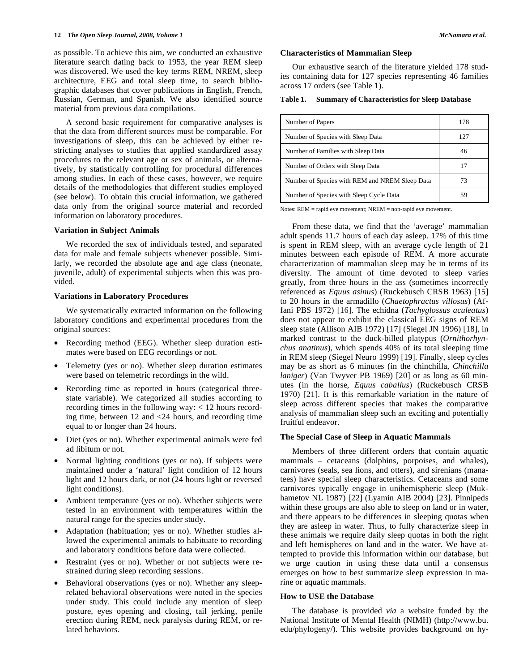as possible. To achieve this aim, we conducted an exhaustive literature search dating back to 1953, the year REM sleep was discovered. We used the key terms REM, NREM, sleep architecture, EEG and total sleep time, to search bibliographic databases that cover publications in English, French, Russian, German, and Spanish. We also identified source material from previous data compilations.

 A second basic requirement for comparative analyses is that the data from different sources must be comparable. For investigations of sleep, this can be achieved by either restricting analyses to studies that applied standardized assay procedures to the relevant age or sex of animals, or alternatively, by statistically controlling for procedural differences among studies. In each of these cases, however, we require details of the methodologies that different studies employed (see below). To obtain this crucial information, we gathered data only from the original source material and recorded information on laboratory procedures.

## **Variation in Subject Animals**

 We recorded the sex of individuals tested, and separated data for male and female subjects whenever possible. Similarly, we recorded the absolute age and age class (neonate, juvenile, adult) of experimental subjects when this was provided.

## **Variations in Laboratory Procedures**

 We systematically extracted information on the following laboratory conditions and experimental procedures from the original sources:

- Recording method (EEG). Whether sleep duration estimates were based on EEG recordings or not.
- Telemetry (yes or no). Whether sleep duration estimates were based on telemetric recordings in the wild.
- Recording time as reported in hours (categorical threestate variable). We categorized all studies according to recording times in the following way: < 12 hours recording time, between 12 and <24 hours, and recording time equal to or longer than 24 hours.
- Diet (yes or no). Whether experimental animals were fed ad libitum or not.
- Normal lighting conditions (yes or no). If subjects were maintained under a 'natural' light condition of 12 hours light and 12 hours dark, or not (24 hours light or reversed light conditions).
- Ambient temperature (yes or no). Whether subjects were tested in an environment with temperatures within the natural range for the species under study.
- Adaptation (habituation; yes or no). Whether studies allowed the experimental animals to habituate to recording and laboratory conditions before data were collected.
- Restraint (yes or no). Whether or not subjects were restrained during sleep recording sessions.
- Behavioral observations (yes or no). Whether any sleeprelated behavioral observations were noted in the species under study. This could include any mention of sleep posture, eyes opening and closing, tail jerking, penile erection during REM, neck paralysis during REM, or related behaviors.

#### **Characteristics of Mammalian Sleep**

 Our exhaustive search of the literature yielded 178 studies containing data for 127 species representing 46 families across 17 orders (see Table **1**).

## **Table 1. Summary of Characteristics for Sleep Database**

| Number of Papers                               | 178 |
|------------------------------------------------|-----|
| Number of Species with Sleep Data              | 127 |
| Number of Families with Sleep Data             | 46  |
| Number of Orders with Sleep Data               | 17  |
| Number of Species with REM and NREM Sleep Data | 73  |
| Number of Species with Sleep Cycle Data        | 59  |

Notes: REM = rapid eye movement; NREM = non-rapid eye movement.

 From these data, we find that the 'average' mammalian adult spends 11.7 hours of each day asleep. 17% of this time is spent in REM sleep, with an average cycle length of 21 minutes between each episode of REM. A more accurate characterization of mammalian sleep may be in terms of its diversity. The amount of time devoted to sleep varies greatly, from three hours in the ass (sometimes incorrectly referenced as *Equus asinus*) (Ruckebusch CRSB 1963) [15] to 20 hours in the armadillo (*Chaetophractus villosus*) (Affani PBS 1972) [16]. The echidna (*Tachyglossus aculeatus*) does not appear to exhibit the classical EEG signs of REM sleep state (Allison AIB 1972) [17] (Siegel JN 1996) [18], in marked contrast to the duck-billed platypus (*Ornithorhynchus anatinus*), which spends 40% of its total sleeping time in REM sleep (Siegel Neuro 1999) [19]. Finally, sleep cycles may be as short as 6 minutes (in the chinchilla, *Chinchilla laniger*) (Van Twyver PB 1969) [20] or as long as 60 minutes (in the horse, *Equus caballus*) (Ruckebusch CRSB 1970) [21]. It is this remarkable variation in the nature of sleep across different species that makes the comparative analysis of mammalian sleep such an exciting and potentially fruitful endeavor.

### **The Special Case of Sleep in Aquatic Mammals**

 Members of three different orders that contain aquatic mammals – cetaceans (dolphins, porpoises, and whales), carnivores (seals, sea lions, and otters), and sirenians (manatees) have special sleep characteristics. Cetaceans and some carnivores typically engage in unihemispheric sleep (Mukhametov NL 1987) [22] (Lyamin AIB 2004) [23]. Pinnipeds within these groups are also able to sleep on land or in water, and there appears to be differences in sleeping quotas when they are asleep in water. Thus, to fully characterize sleep in these animals we require daily sleep quotas in both the right and left hemispheres on land and in the water. We have attempted to provide this information within our database, but we urge caution in using these data until a consensus emerges on how to best summarize sleep expression in marine or aquatic mammals.

### **How to USE the Database**

 The database is provided *via* a website funded by the National Institute of Mental Health (NIMH) (http://www.bu. edu/phylogeny/). This website provides background on hy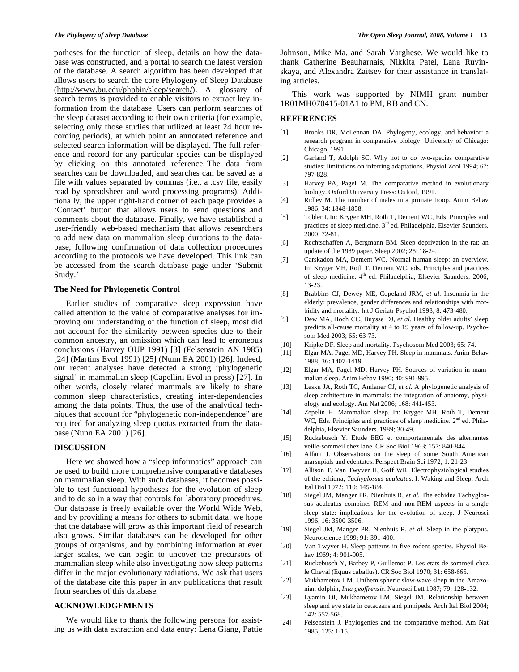potheses for the function of sleep, details on how the database was constructed, and a portal to search the latest version of the database. A search algorithm has been developed that allows users to search the core Phylogeny of Sleep Database (http://www.bu.edu/phpbin/sleep/search/). A glossary of search terms is provided to enable visitors to extract key information from the database. Users can perform searches of the sleep dataset according to their own criteria (for example, selecting only those studies that utilized at least 24 hour recording periods), at which point an annotated reference and selected search information will be displayed. The full reference and record for any particular species can be displayed by clicking on this annotated reference. The data from searches can be downloaded, and searches can be saved as a file with values separated by commas (i.e., a .csv file, easily read by spreadsheet and word processing programs). Additionally, the upper right-hand corner of each page provides a 'Contact' button that allows users to send questions and comments about the database. Finally, we have established a user-friendly web-based mechanism that allows researchers to add new data on mammalian sleep durations to the database, following confirmation of data collection procedures according to the protocols we have developed. This link can be accessed from the search database page under 'Submit Study.'

## **The Need for Phylogenetic Control**

 Earlier studies of comparative sleep expression have called attention to the value of comparative analyses for improving our understanding of the function of sleep, most did not account for the similarity between species due to their common ancestry, an omission which can lead to erroneous conclusions (Harvey OUP 1991) [3] (Felsenstein AN 1985) [24] (Martins Evol 1991) [25] (Nunn EA 2001) [26]. Indeed, our recent analyses have detected a strong 'phylogenetic signal' in mammalian sleep (Capellini Evol in press) [27]. In other words, closely related mammals are likely to share common sleep characteristics, creating inter-dependencies among the data points. Thus, the use of the analytical techniques that account for "phylogenetic non-independence" are required for analyzing sleep quotas extracted from the database (Nunn EA 2001) [26].

## **DISCUSSION**

 Here we showed how a "sleep informatics" approach can be used to build more comprehensive comparative databases on mammalian sleep. With such databases, it becomes possible to test functional hypotheses for the evolution of sleep and to do so in a way that controls for laboratory procedures. Our database is freely available over the World Wide Web, and by providing a means for others to submit data, we hope that the database will grow as this important field of research also grows. Similar databases can be developed for other groups of organisms, and by combining information at ever larger scales, we can begin to uncover the precursors of mammalian sleep while also investigating how sleep patterns differ in the major evolutionary radiations. We ask that users of the database cite this paper in any publications that result from searches of this database.

## **ACKNOWLEDGEMENTS**

 We would like to thank the following persons for assisting us with data extraction and data entry: Lena Giang, Pattie Johnson, Mike Ma, and Sarah Varghese. We would like to thank Catherine Beauharnais, Nikkita Patel, Lana Ruvinskaya, and Alexandra Zaitsev for their assistance in translating articles.

 This work was supported by NIMH grant number 1R01MH070415-01A1 to PM, RB and CN.

#### **REFERENCES**

- [1] Brooks DR, McLennan DA. Phylogeny, ecology, and behavior: a research program in comparative biology. University of Chicago: Chicago, 1991.
- [2] Garland T, Adolph SC. Why not to do two-species comparative studies: limitations on inferring adaptations. Physiol Zool 1994; 67: 797-828.
- [3] Harvey PA, Pagel M. The comparative method in evolutionary biology. Oxford University Press: Oxford, 1991.
- [4] Ridley M. The number of males in a primate troop. Anim Behav 1986; 34: 1848-1858.
- [5] Tobler I. In: Kryger MH, Roth T, Dement WC, Eds. Principles and practices of sleep medicine.  $3<sup>rd</sup>$  ed. Philadelphia, Elsevier Saunders. 2000; 72-81.
- [6] Rechtschaffen A, Bergmann BM. Sleep deprivation in the rat: an update of the 1989 paper. Sleep 2002; 25: 18-24.
- [7] Carskadon MA, Dement WC. Normal human sleep: an overview. In: Kryger MH, Roth T, Dement WC, eds. Principles and practices of sleep medicine. 4<sup>th</sup> ed. Philadelphia, Elsevier Saunders. 2006; 13-23.
- [8] Brabbins CJ, Dewey ME, Copeland JRM, *et al.* Insomnia in the elderly: prevalence, gender differences and relationships with morbidity and mortality. Int J Geriatr Psychol 1993; 8: 473-480.
- [9] Dew MA, Hoch CC, Buysse DJ, *et al.* Healthy older adults' sleep predicts all-cause mortality at 4 to 19 years of follow-up. Psychosom Med 2003; 65: 63-73.
- [10] Kripke DF. Sleep and mortality. Psychosom Med 2003; 65: 74.
- [11] Elgar MA, Pagel MD, Harvey PH. Sleep in mammals. Anim Behav 1988; 36: 1407-1419.
- [12] Elgar MA, Pagel MD, Harvey PH. Sources of variation in mammalian sleep. Anim Behav 1990; 40: 991-995.
- [13] Lesku JA, Roth TC, Amlaner CJ, *et al.* A phylogenetic analysis of sleep architecture in mammals: the integration of anatomy, physiology and ecology. Am Nat 2006; 168: 441-453.
- [14] Zepelin H. Mammalian sleep. In: Kryger MH, Roth T, Dement WC, Eds. Principles and practices of sleep medicine. 2<sup>nd</sup> ed. Philadelphia, Elsevier Saunders. 1989; 30-49.
- [15] Ruckebusch Y. Etude EEG et comportamentale des alternantes veille-sommeil chez lane. CR Soc Biol 1963; 157: 840-844.
- [16] Affani J. Observations on the sleep of some South American marsupials and edentates. Perspect Brain Sci 1972; 1: 21-23.
- [17] Allison T, Van Twyver H, Goff WR. Electrophysiological studies of the echidna, *Tachyglossus aculeatus*. I. Waking and Sleep. Arch Ital Biol 1972; 110: 145-184.
- [18] Siegel JM, Manger PR, Nienhuis R, *et al.* The echidna Tachyglossus aculeatus combines REM and non-REM aspects in a single sleep state: implications for the evolution of sleep. J Neurosci 1996; 16: 3500-3506.
- [19] Siegel JM, Manger PR, Nienhuis R, *et al.* Sleep in the platypus. Neuroscience 1999; 91: 391-400.
- [20] Van Twyver H. Sleep patterns in five rodent species. Physiol Behav 1969; 4: 901-905.
- [21] Ruckebusch Y, Barbey P, Guillemot P. Les etats de sommeil chez le Cheval (Equus caballus). CR Soc Biol 1970; 31: 658-665.
- [22] Mukhametov LM. Unihemispheric slow-wave sleep in the Amazonian dolphin, *Inia geoffrensis*. Neurosci Lett 1987; 79: 128-132.
- [23] Lyamin OI, Mukhametov LM, Siegel JM. Relationship between sleep and eye state in cetaceans and pinnipeds. Arch Ital Biol 2004; 142: 557-568.
- [24] Felsenstein J. Phylogenies and the comparative method. Am Nat 1985; 125: 1-15.